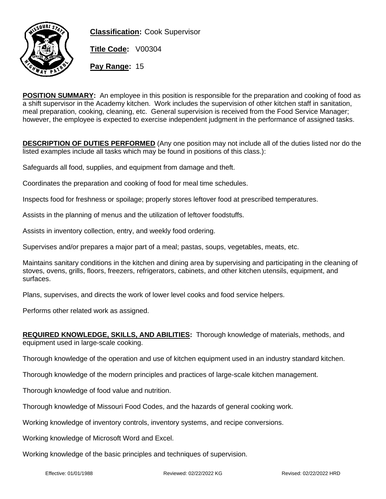

**Classification:** Cook Supervisor

**Title Code:** V00304

**Pay Range:** 15

**POSITION SUMMARY:** An employee in this position is responsible for the preparation and cooking of food as a shift supervisor in the Academy kitchen. Work includes the supervision of other kitchen staff in sanitation, meal preparation, cooking, cleaning, etc. General supervision is received from the Food Service Manager; however, the employee is expected to exercise independent judgment in the performance of assigned tasks.

**DESCRIPTION OF DUTIES PERFORMED** (Any one position may not include all of the duties listed nor do the listed examples include all tasks which may be found in positions of this class.):

Safeguards all food, supplies, and equipment from damage and theft.

Coordinates the preparation and cooking of food for meal time schedules.

Inspects food for freshness or spoilage; properly stores leftover food at prescribed temperatures.

Assists in the planning of menus and the utilization of leftover foodstuffs.

Assists in inventory collection, entry, and weekly food ordering.

Supervises and/or prepares a major part of a meal; pastas, soups, vegetables, meats, etc.

Maintains sanitary conditions in the kitchen and dining area by supervising and participating in the cleaning of stoves, ovens, grills, floors, freezers, refrigerators, cabinets, and other kitchen utensils, equipment, and surfaces.

Plans, supervises, and directs the work of lower level cooks and food service helpers.

Performs other related work as assigned.

| <b>REQUIRED KNOWLEDGE, SKILLS, AND ABILITIES:</b> Thorough knowledge of materials, methods, and |  |
|-------------------------------------------------------------------------------------------------|--|
| equipment used in large-scale cooking.                                                          |  |

Thorough knowledge of the operation and use of kitchen equipment used in an industry standard kitchen.

Thorough knowledge of the modern principles and practices of large-scale kitchen management.

Thorough knowledge of food value and nutrition.

Thorough knowledge of Missouri Food Codes, and the hazards of general cooking work.

Working knowledge of inventory controls, inventory systems, and recipe conversions.

Working knowledge of Microsoft Word and Excel.

Working knowledge of the basic principles and techniques of supervision.